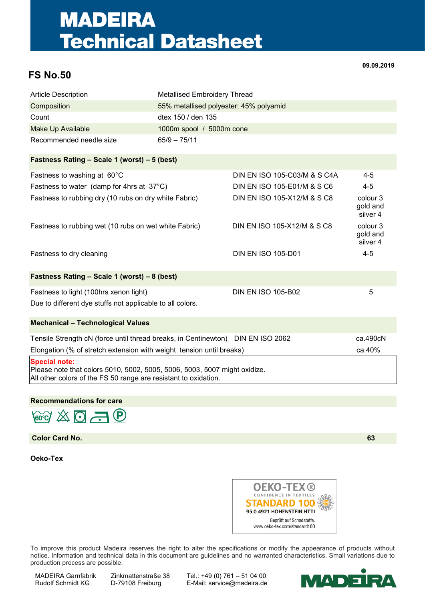## **MADEIRA Technical Datasheet**

## **FS No.50**

**09.09.2019**

| <b>Article Description</b>                                                                                                                                           | <b>Metallised Embroidery Thread</b>    |                              |                                             |
|----------------------------------------------------------------------------------------------------------------------------------------------------------------------|----------------------------------------|------------------------------|---------------------------------------------|
| Composition                                                                                                                                                          | 55% metallised polyester; 45% polyamid |                              |                                             |
| Count                                                                                                                                                                | dtex 150 / den 135                     |                              |                                             |
| <b>Make Up Available</b>                                                                                                                                             | 1000m spool / 5000m cone               |                              |                                             |
| Recommended needle size                                                                                                                                              | $65/9 - 75/11$                         |                              |                                             |
| Fastness Rating - Scale 1 (worst) - 5 (best)                                                                                                                         |                                        |                              |                                             |
| Fastness to washing at 60°C                                                                                                                                          |                                        | DIN EN ISO 105-C03/M & S C4A | $4 - 5$                                     |
| Fastness to water (damp for 4hrs at 37°C)                                                                                                                            |                                        | DIN EN ISO 105-E01/M & S C6  | $4 - 5$                                     |
| Fastness to rubbing dry (10 rubs on dry white Fabric)                                                                                                                |                                        | DIN EN ISO 105-X12/M & S C8  | colour <sub>3</sub><br>gold and<br>silver 4 |
| Fastness to rubbing wet (10 rubs on wet white Fabric)                                                                                                                |                                        | DIN EN ISO 105-X12/M & S C8  | colour <sub>3</sub><br>gold and<br>silver 4 |
| Fastness to dry cleaning                                                                                                                                             |                                        | <b>DIN EN ISO 105-D01</b>    | $4 - 5$                                     |
| Fastness Rating - Scale 1 (worst) - 8 (best)                                                                                                                         |                                        |                              |                                             |
| Fastness to light (100hrs xenon light)                                                                                                                               |                                        | <b>DIN EN ISO 105-B02</b>    | 5                                           |
| Due to different dye stuffs not applicable to all colors.                                                                                                            |                                        |                              |                                             |
| <b>Mechanical - Technological Values</b>                                                                                                                             |                                        |                              |                                             |
| Tensile Strength cN (force until thread breaks, in Centinewton) DIN EN ISO 2062                                                                                      |                                        |                              | ca.490cN                                    |
| Elongation (% of stretch extension with weight tension until breaks)                                                                                                 |                                        |                              | ca.40%                                      |
| <b>Special note:</b><br>Please note that colors 5010, 5002, 5005, 5006, 5003, 5007 might oxidize.<br>All other colors of the FS 50 range are resistant to oxidation. |                                        |                              |                                             |

## **Recommendations for care**



**Color Card No. 63**

**Oeko-Tex**



To improve this product Madeira reserves the right to alter the specifications or modify the appearance of products without notice. Information and technical data in this document are guidelines and no warranted characteristics. Small variations due to production process are possible.

MADEIRA Garnfabrik Zinkmattenstraße 38 Tel.: +49 (0) 761 – 51 04 00<br>Rudolf Schmidt KG D-79108 Freiburg E-Mail: service@madeira.de E-Mail: service@madeira.de